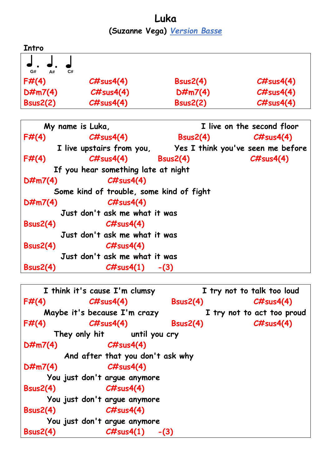**Luka (Suzanne Vega)** *Version Basse*

| Intro           |              |                 |              |
|-----------------|--------------|-----------------|--------------|
|                 |              |                 |              |
| G#<br>C#<br>A#  |              |                 |              |
| F#(4)           | $C\#sus4(4)$ | Bsus2(4)        | $C\#sus4(4)$ |
| $D\#m7(4)$      | C#sus4(4)    | $D\#m7(4)$      | C#sus4(4)    |
| <b>Bsus2(2)</b> | C#sus4(4)    | <b>Bsus2(2)</b> | C#sus4(4)    |

| My name is Luka, |                                                             |                                                                         | I live on the second floor |  |
|------------------|-------------------------------------------------------------|-------------------------------------------------------------------------|----------------------------|--|
| F#(4)            | $C\#sus4(4)$                                                | $\textsf{B}\textsf{sus2(4)} \hspace{20pt} \textsf{C}\texttt{\#sus4(4)}$ |                            |  |
|                  | I live upstairs from you, Yes I think you've seen me before |                                                                         |                            |  |
| F#(4)            | $C\#sus4(4)$ Bsus2(4)                                       |                                                                         | $C\#sus4(4)$               |  |
|                  | If you hear something late at night                         |                                                                         |                            |  |
| $D\#m7(4)$       | C#sus4(4)                                                   |                                                                         |                            |  |
|                  | Some kind of trouble, some kind of fight                    |                                                                         |                            |  |
| $D\#m7(4)$       | $C\#sus4(4)$                                                |                                                                         |                            |  |
|                  | Just don't ask me what it was                               |                                                                         |                            |  |
| Bsus2(4)         | $C\#sus4(4)$                                                |                                                                         |                            |  |
|                  | Just don't ask me what it was                               |                                                                         |                            |  |
| Bsus2(4)         | $C\#sus4(4)$                                                |                                                                         |                            |  |
|                  | Just don't ask me what it was                               |                                                                         |                            |  |
| Bsus2(4)         | $\mathcal{C\#}$ sus $4(1)$                                  | $-(3)$                                                                  |                            |  |

```
 I think it's cause I'm clumsy I try not to talk too loud
F#(4) C#sus4(4) Bsus2(4) C#sus4(4)
    Maybe it's because I'm crazy I try not to act too proud
F#(4) C#sus4(4) Bsus2(4) C#sus4(4)
      They only hit until you cry
D#m7(4) C#sus4(4)
        And after that you don't ask why
D#m7(4) C#sus4(4)
     You just don't argue anymore
Bsus2(4) C#sus4(4)
     You just don't argue anymore
Bsus2(4) C#sus4(4)
     You just don't argue anymore
Bsus2(4) C#sus4(1) -(3)
```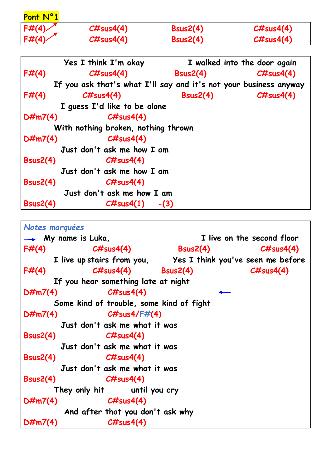| Pont N°1        |                                                                   |                                        |                              |
|-----------------|-------------------------------------------------------------------|----------------------------------------|------------------------------|
| F#(4)           | $C\#sus4(4)$                                                      | Bsus2(4)                               | $\mathcal{CH}$ sus $4(4)$    |
| F#(4)           | $C\#sus4(4)$                                                      | <b>Bsus2(4)</b>                        | $C\#sus4(4)$                 |
|                 | <b>Yes I think I'm okay</b>                                       |                                        | I walked into the door again |
| F#(4)           |                                                                   | $\mathcal{C\#}$ sus $4(4)$ Bsus $2(4)$ | $C\#sus4(4)$                 |
|                 | If you ask that's what I'll say and it's not your business anyway |                                        |                              |
| F#(4)           | $\mathcal{CH}$ sus $4(4)$                                         | Bsus2(4)                               | $C\#sus4(4)$                 |
|                 | I guess I'd like to be alone                                      |                                        |                              |
| $D\#m7(4)$      | $C\#sus4(4)$                                                      |                                        |                              |
|                 | With nothing broken, nothing thrown                               |                                        |                              |
| $D\#m7(4)$      | $C\#sus4(4)$                                                      |                                        |                              |
|                 | Just don't ask me how I am                                        |                                        |                              |
| Bsus2(4)        | CHsus4(4)                                                         |                                        |                              |
|                 | Just don't ask me how I am                                        |                                        |                              |
| Bsus2(4)        | $\mathcal{CH}$ sus $4(4)$                                         |                                        |                              |
|                 | Just don't ask me how I am                                        |                                        |                              |
| <b>Bsus2(4)</b> | $\mathcal{CH}$ sus4(1) -(3)                                       |                                        |                              |

*Notes marquées*  **My name is Luka, I live on the second floor F#(4) C#sus4(4) Bsus2(4) C#sus4(4) I live up stairs from you, Yes I think you've seen me before F#(4) C#sus4(4) Bsus2(4) C#sus4(4) If you hear something late at night D#m7(4) C#sus4(4) Some kind of trouble, some kind of fight D#m7(4) C#sus4/F#(4) Just don't ask me what it was Bsus2(4) C#sus4(4) Just don't ask me what it was Bsus2(4) C#sus4(4) Just don't ask me what it was Bsus2(4) C#sus4(4) They only hit until you cry D#m7(4) C#sus4(4) And after that you don't ask why D#m7(4) C#sus4(4)**